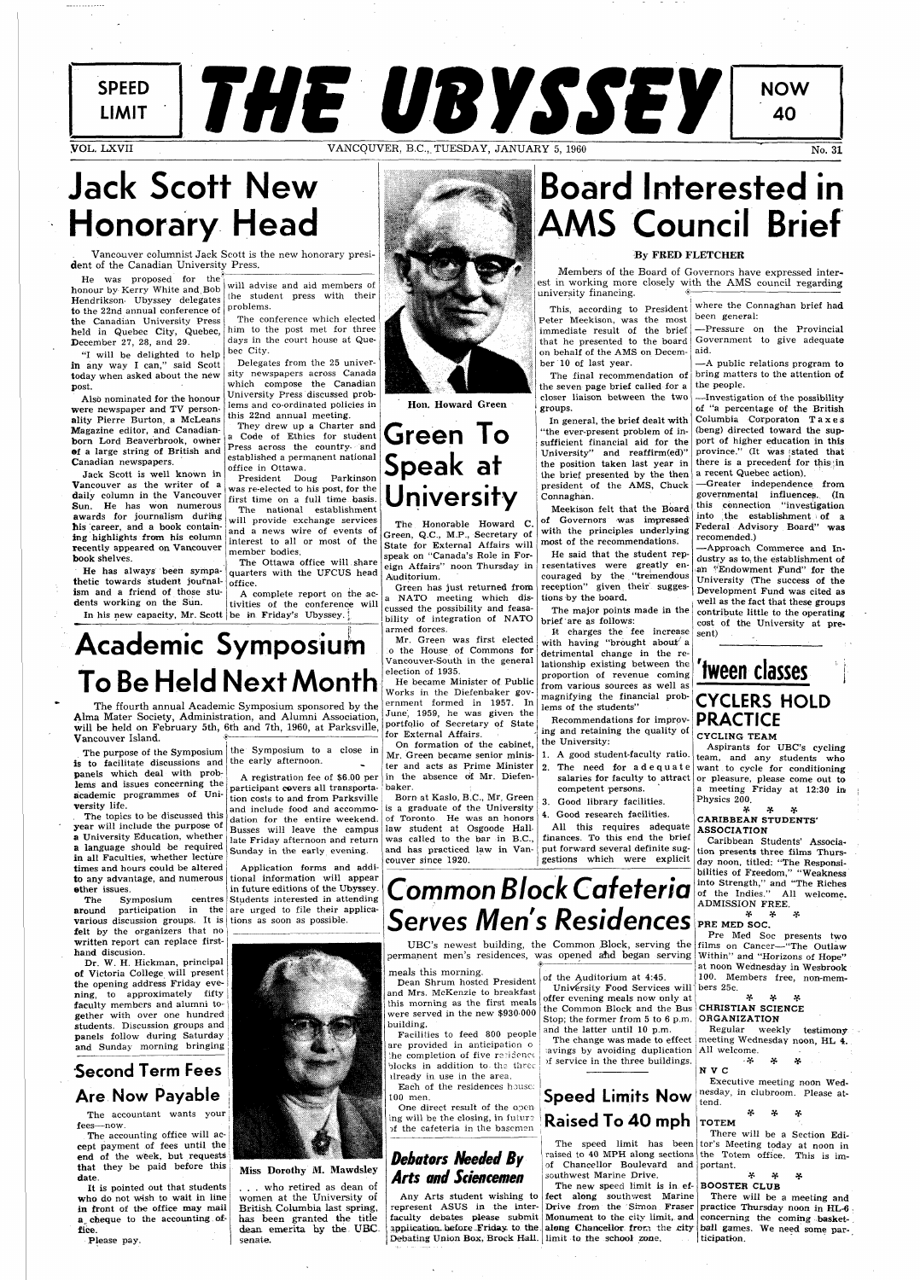SPEED THE UBYSSEY

**NOW** 

40

## **Jack Scott New Honorary Head**

Vancouver columnist Jack Scott is the new honorary president of the Canadian University Press.

He was proposed for the honour by Kerry White and.Bob Hendrikson Ubyssey delegates to the 22nd annual conference of the Canadian University Press held in Quebec City, Quebec, December 27, 28, and 29.

"I will be delighted to help in any way I can," said Scott today when asked about the new post.

Also nominated for the honour were newspaper and TV personality Pierre Burton, a McLeans Magazine editor, and Canadianborn Lord Beaverbrook, owner ©f a large string of British and Canadian newspapers.

Jack Scott is well known in Vancouver as the writer of a daily column in the Vancouver Sun. He has won numerous awards for journalism during his career, and a book containing highlights from his column recently appeared on Vancouver book shelves.

He has always been sympathetic towards student journal^ ism and a friend of those students working on the Sun.

In his new capacity, Mr. Scott | be in Friday's Ubyssey.

will advise and aid members of the student press with their problems.

The conference which elected

is to facilitate discussions and the early afternoon. panels which deal with problems and issues concerning the academic programmes of University life.

him to the post met for three days in the court house at Quebec City.

Delegates from the 25 university newspapers across Canada which compose the Canadian University Press discussed problems and co-ordinated policies in this 22nd annual meeting.

They drew up a Charter and a Code of Ethics for student Press across the country, and established a permanent national office in Ottawa.

The accounting office will accept payment of fees until the end of the week, but requests that they be paid before this date.

President Doug Parkinson member bodies.

was re-elected to his post, for the first time on a full time basis. The national establishment will provide exchange services and a news wire of events of interest to all or most of the

The Ottawa office will.share

quarters with the UFCUS head office.

A complete report on the activities of the conference will

Members of the Board of Governors have expressed interest in working more closely with the AMS council regarding university financing.

## **Academic Symposium To Be Held Next Month**

The ffourth annual Academic Symposium sponsored by the Alma Mater Society, Administration, and Alumni Association, will be held on February 5th, 6th and 7th, 1960, at Parksville, Vancouver Island.

The topics to be discussed this year will include the purpose of a University Education, whether a language should be required in all Faculties, whether lecture times and hours could be altered to any advantage, and numerous ether issues.

The Symposium centres  ${\bf a}$ round participation in the are urged to file their applica**various** discussion groups. It is tions as soon as possible. felt by the organizers that no

The purpose of the Symposium  $\vert$  the Symposium to a close in

written report can replace firsthand discusion.

He said that the student representatives were greatly encouraged by the "tremendous reception" given their suggestions by the board.

Dr. W. H. Hickman, principal of Victoria College will present the opening address Friday evening, to approximately fifty faculty members and alumni together with over one hundred students. Discussion groups and panels follow during Saturday and Sunday morning bringing

It charges the fee increase With having "brought about' a detrimental change in the relationship existing between the proportion of revenue coming from various sources as well as magnifying the financial problems of the students"

### Second Term Fees Are Now Payable

The accountant wants your fees—now.

It is pointed out that students who do not wish to wait in line in front of the office may mail a, cheque to the accounting. office.

Please pay.

A registration fee of \$6.00 per participant covers all transporta-baker. tion costs to and from Parksville and include food and accommodation for the entire weekend. Busses will leave the campus late Friday afternoon and return Sunday in the early evening.

Application forms and additional information will appear in future editions of the Ubyssey. Students interested in attending



Hon. Howard Green

## **Board Interested in AMS Council Brief**

#### By FRED FLETCHER

## **Green To Speak at University**

The Honorable Howard C. Green, Q.C., M.P., Secretary of State for External Affairs will speak on "Canada's Role in Foreign Affairs" noon Thursday in Auditorium.

Green has just returned from a NATO meeting which discussed the possibility and feasability of integration of NATO armed forces.

Mr. Green was first elected o the House of Commons for Vancouver-South in the general election of 1935.

> salaries for faculty to attract or pleasure, please come out to Aspirants for UBC's cycling team, and any students who want to cycle for conditioning a meeting Friday at 12:30 in Physics 200.

He became Minister of Public Works in the Diefenbaker government formed in 1957. In June, 1959, he was given the portfolio of Secretary of State for External Affairs.

Common Block Cafeteria **Into Strength,"** and "The Riches Caribbean Students' Association presents three films Thursday noon, titled: "The Responsibilities of Freedom," "Weakness<br>into Strength," and "The Riches of the Indies." All welcome. ADMISSION FREE.

On formation of the cabinet, Mr. Green became senior minister and acts as Prime Minister in the absence of Mr. Diefen-

Born at Kaslo, B.C., Mr. Green is a graduate of the University of Toronto. He was an honors law student at Osgoode Hall. was called to the bar in B.C., and has practiced law in Vancouver since 1920.

| <b>Serves Men's Residences</b><br>permanent men's residences, was opened and began serving                                                                                                                                                                                                                                                                                                                                                                                                                  | UBC's newest building, the Common Block, serving the                                                                                                                                                                                                                                                                                                               | x<br>÷.<br>x<br>PRE MED SOC.<br>Pre Med Soc presents two<br>films on Cancer-"The Outlaw<br>Within" and "Horizons of Hope"                                                                                                                                                                                                                                                                                                                                                                        |
|-------------------------------------------------------------------------------------------------------------------------------------------------------------------------------------------------------------------------------------------------------------------------------------------------------------------------------------------------------------------------------------------------------------------------------------------------------------------------------------------------------------|--------------------------------------------------------------------------------------------------------------------------------------------------------------------------------------------------------------------------------------------------------------------------------------------------------------------------------------------------------------------|--------------------------------------------------------------------------------------------------------------------------------------------------------------------------------------------------------------------------------------------------------------------------------------------------------------------------------------------------------------------------------------------------------------------------------------------------------------------------------------------------|
| meals this morning.<br>Dean Shrum hosted President<br>and Mrs. McKenzie to breakfast<br>this morning as the first meals<br>were served in the new \$930,000<br>building.<br>Facilities to feed 800 people<br>are provided in anticipation o<br>the completion of five regidence<br>blocks in addition to the three<br>already in use in the area.<br>Each of the residences house:<br>$100$ men.<br>One direct result of the open-<br>ing will be the closing, in future<br>of the cafeteria in the basemen | of the Auditorium at 4:45.<br>University Food Services will<br>offer evening meals now only at<br>the Common Block and the Bus<br>Stop; the former from 5 to 6 p.m.<br>and the latter until 10 p.m.<br>The change was made to effect<br>avings by avoiding duplication<br>of service in the three buildings.<br><b>Speed Limits Now</b><br><b>Raised To 40 mph</b> | at noon Wednesday in Wesbrook<br>100. Members free, non-mem-<br>bers 25c.<br>x.<br>∗<br>x<br>CHRISTIAN SCIENCE<br><b>ORGANIZATION</b><br>Regular<br>weekly testimony<br>meeting Wednesday noon, HL 4.<br>All welcome.<br>. 꽃<br>¥.<br>¥.<br>NVC<br>Executive meeting noon Wed-<br>nesday, in clubroom. Please at-<br>tend.<br>x<br>x<br>æ.<br><b>TOTEM</b>                                                                                                                                       |
| <b>Debators Needed By</b><br><b>Arts and Sciencemen</b><br>Debating Union Box, Brock Hall. limit to the school zone.                                                                                                                                                                                                                                                                                                                                                                                        | raised to 40 MPH along sections<br>of Chancellor Boulevard and<br>southwest Marine Drive.<br>The new speed limit is in ef- <b>BOOSTER CLUB</b><br>Any Arts student wishing to fect along southwest Marine<br>$\sim$ $\sim$                                                                                                                                         | There will be a Section Edi-<br>The speed limit has been tor's Meeting today at noon in<br>the Totem office. This is im-<br>portant.<br>x.<br>¥.<br>¥.<br>There will be a meeting and<br>represent ASUS in the inter- Drive from the Simon Fraser practice Thursday noon in HL-6.<br>faculty debates please submit Monument to the city limit, and concerning the coming basket-<br>application before Friday to the along Chancellor from the city ball games. We need some par-<br>ticipation. |

ber 10 of last year. The final recommendation of the seven page brief called for a closer liaison between the two groups.

In general, the brief dealt with "the ever-present problem of insufficient financial aid for the University" and reaffirm(ed)" the position taken last year in the brief presented by the then president of the AMS, Chuck Connaghan.

Meekison felt that the Board of Governors was impressed with the principles underlying most of the recommendations.

The major points made in the brief are as follows:

This, according to President Peter Meekison, was the most immediate result of the brief that he presented to the board on behalf of the AMS on Decemwhere the Connaghan brief had been general:

Recommendations for improving and retaining the quality of the University:

- 1. A good student-faculty ratio.
- 2. The need for  $ad$ equate competent persons.
- 3. Good library facilities.
- 4. Good research facilities.

All this requires adequate finances. To this end the brief put forward several definite suggestions which were explicit

—Pressure on the Provincial Government to give adequate aid.

—A public relations program to bring matters to the attention of the people.

—Investigation of the possibility of "a percentage of the British Columbia Corporaton Taxe s (beng) directed toward the support of higher education in this province." (It was stated that there is a precedent for this in a recent Quebec action).

—Greater independence from governmental influences. (In this connection "investigation into the establishment of a Federal Advisory Board" was recomended.)

—Approach Commerce and Industry as to, the establishment of an ''Endowment Fund" for the University (The success of the Development Fund was cited as well as the fact that these groups contribute little to the operating cost of the University at present)



Miss Dorothy M. Mawdsley

. . . who retired as dean of women at the University of British Columbia last spring, has been granted the title dean emerita by the UBC. senate.

### **'tween classes CYCLERS HOLD PRACTICE**  CYCLING TEAM

#### \* \* # CARIBBEAN STUDENTS' ASSOCIATION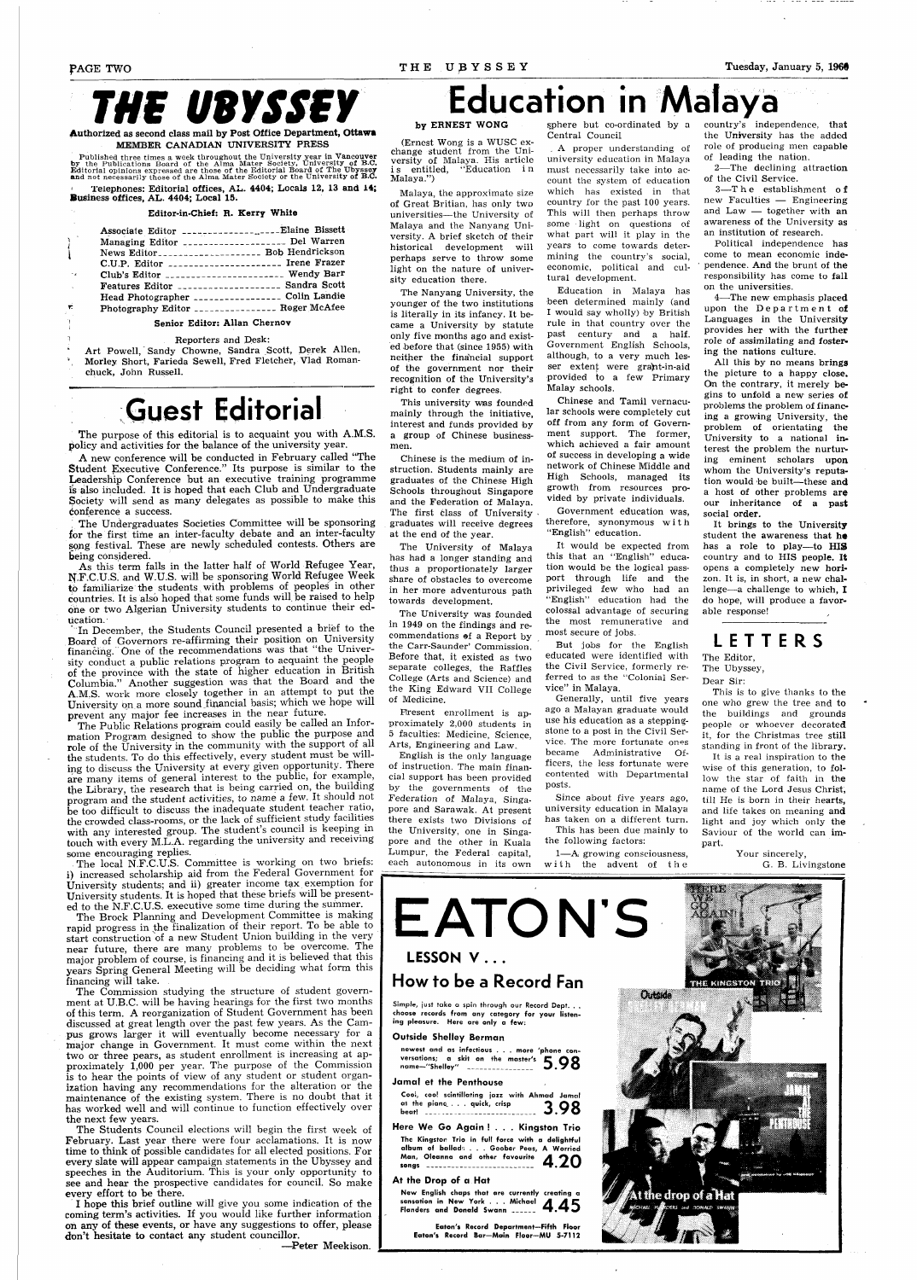# *THE UBYSSEY*

Authorized as second class mail by Post Office Department, **Ottawa** 

MEMBER CANADIAN UNIVERSILY FRESS<br>by the Published three times a week throughout the University year in Vancouver<br>by the Publications Board of the Alma Mater Society, University of B.C.<br>Editorial opinions expressed are thos

Telephones: Editorial offices, AL. 4404; Locals 12, 13 and 14; Business offices, AL. 4404; Local 15.

Art Powell, Sandy Chowne, Sandra Scott, Derek Allen, \ Morley Short, Farieda Sewell, Fred Fletcher, Vlad Romanchuck, John Russell.

#### Editor-in-Chief: R. Kerry White

|                                        | Associate Editor ____________________Elaine Bissett |  |
|----------------------------------------|-----------------------------------------------------|--|
| $\begin{pmatrix} 1 \\ 1 \end{pmatrix}$ | Managing Editor ___________________ Del Warren      |  |
| $\mathbf{L}$                           | News Editor____________________ Bob Hendrickson     |  |
|                                        | C.U.P. Editor ______________________ Irene Frazer   |  |
| $\mathcal{L}_{\mathbf{z}}$             | Club's Editor ______________________ Wendy Barr     |  |
| $\Delta \sim 10^4$                     | Features Editor ___________________ Sandra Scott    |  |
|                                        | Head Photographer _________________ Colin Landie    |  |
| Ê.                                     | Photography Editor ________________ Roger McAfee    |  |
|                                        |                                                     |  |

#### Senior Editor: Allan Chernov

#### ' Reporters and Desk:

## **Guest Editorial**

The purpose of this editorial is to acquaint you with A.M.S. policy and activities for the balance of the university year.

In December, the Students Council presented a brief to the Board of Governors re-affirming their position on University financing. One of the recommendations was that "the University conduct a public relations program to acquaint the people of the province with the state of higher education in British Columbia." Another suggestion was that the Board and the A.M.S. work more closely together in an attempt to put the University on a more sound financial basis; Which we hope will prevent any major fee increases in the near future.

A new conference will be conducted in February called "The Student Executive Conference." Its purpose is similar to the Leadership Conference but an executive training programme is also included. It is hoped that each Club and Undergraduate Society will send as many delegates as possible to make this conference a success.

, The Undergraduates Societies Committee will be sponsoring for the first time an inter-faculty debate and an inter-faculty song festival. These are newly scheduled contests. Others are being considered.

The local N.F.C.U.S. Committee is working on two briefs: i) increased scholarship aid from the Federal Government for University students; and ii) greater income tax exemption for University students. It is hoped that these briefs will be presented to the N.F.C.U.S. executive some time during the summer.

As this term falls in the latter half of World Refugee Year, N.F.C.U.S. and W.U.S. will be sponsoring World Refugee Week to familiarize the students with problems of peoples in other countries. It is also hoped that some funds will be raised to help one or two Algerian University students to continue their education.

The Students Council elections will begin the first week of February. Last year there were four acclamations. It is now time to think of possible candidates for all elected positions. For every slate will appear campaign statements in the Ubyssey and speeches in the Auditorium. This is your only opportunity to see and hear the prospective candidates for council. So make every effort to be there.

The Public Relations program could easily be called an Information Program designed to show the public the purpose and role of the University in the community with the support of all the students. To do this effectively, every student must be willing to discuss the University at every given opportunity. There are many items of general interest to the public, for example, the Library, the research that is being carried on, the building program and the student activities, to name a few. It should not be too difficult to discuss the inadequate student teacher ratio, the crowded class-rooms, or the lack of sufficient study facilities with any interested group. The student's council is keeping in touch with every M.L.A. regarding the university and receiving some encouraging replies.

sphere but co-ordinated by a Central Council

The Brock Planning and Development Committee is making rapid progress in the finalization of their report. To be able to start construction of a new Student Union building in the very

near future, there are many problems to be overcome. The major problem of course, is financing and it is believed that this years Spring General Meeting will be deciding what form this financing will take.

The Commission studying the structure of student government at U.B.C. will be having hearings for the first two months of this term. A reorganization of Student Government has been discussed at great length over the past few years. As the Campus grows larger it will eventually become necessary for a major change in Government. It must come within the next two or three pears, as student enrollment is increasing at approximately 1,000 per year. The purpose of the Commission is to hear the points of view of any student or student organization having any recommendations for the alteration or the maintenance of the existing system. There is no doubt that it has worked well and will continue to function effectively over the next few years.

1—A growing consciousness, with the advent of the

I hope this brief outline will give you some indication of the coming term's activities. If you would like further information on any of these events, or have any suggestions to offer, please don't hesitate to contact any student councillor.

—Peter Meekison.

## **Education in Malaya**

#### by ERNEST WONG

(Ernest Wong is a WUSC exchange student from the University of Malaya. His article is entitled, "Education i n Malaya.")

Malaya, the approximate size of Great Britian, has only two universities—the University of Malaya and the Nanyang University. A brief sketch of their historical development will perhaps serve to throw some light on the nature of university education there.

The Nanyang University, the younger of the two institutions is literally in its infancy. It became a University by statute only five months ago and existed before that (since 1955) with neither the financial support of the government nor their recognition of the University's right to confer degrees.

This university was founded mainly through the initiative, interest and funds provided by a group of Chinese businessmen.

Chinese is the medium of instruction. Students mainly are graduates of the Chinese High Schools throughout Singapore and the Federation of Malaya. The first class of University graduates will receive degrees at the end of the year.

The University of Malaya has had a longer standing and thus a proportionately larger share of obstacles to overcome in her more adventurous path towards development.

The University was founded in 1949 on the findings and recommendations of a Report by the Carr-Saunder' Commission. Before that, it existed as two separate colleges, the Raffles College (Arts and Science) and the King Edward VII College of Medicine.

Present enrollment is approximately 2,000 students in 5 faculties: Medicine, Science, Arts, Engineering and Law.

English is the only language of instruction. The main financial support has been provided by the governments of the Federation of Malaya, Singapore and Sarawak. At present there exists two Divisions of the University, one in Singapore and the other in Kuala Lumpur, the Federal capital, each autonomous in its own

, A proper understanding of university education in Malaya must necessarily take into account the system of education which has existed in that country for the past 100 years. This will then perhaps throw some light on questions of what part will it play in the years to come towards determining the country's social, economic, political and cultural development.

Education in Malaya has been determined mainly (and I would say wholly) by British rule in that country over the past century and a half. Government English Schools, although, to a very much lesser extent were grant-in-aid provided to a few Primary Malay schools.

Chinese and Tamil vernacular schools were completely cut off from any form of Government support. The former, which achieved a fair amount of success in developing a wide network of Chinese Middle and High Schools, managed its growth from resources provided by private individuals. Government education was, therefore, synonymous with "English" education.

It would be expected from this that an "English" education would be the logical passport through life and the privileged few who had an "English" education had the colossal advantage of securing the most remunerative and most secure of jobs.

But jobs for the English educated were identified with the Civil Service, formerly referred to as the "Colonial Service" in Malaya.

Generally, until five years ago a Malayan graduate would use his education as a steppingstone to a post in the Civil Service. The more fortunate ones became Administrative Officers, the less fortunate were contented with Departmental posts.

Since about five years ago, university education in Malaya has taken on a different turn. This has been due mainly to

the following factors:

country's independence, that the University has the added role of producing men capable of leading the nation.

2—The declining attraction of the Civil Service.

3—T h e establishment o f new Faculties — Engineering and Law — together with an awareness of the University as an institution of research.

Political independence has come to mean economic independence. And the brunt of the responsibility has come to fall on the universities.

4—-The new emphasis placed upon the  $Department$ Languages in the University provides her with the further role of assimilating and fostering the nations culture.

All this by no means brings the picture to a happy close. On the contrary, it merely begins to unfold a new series of problems the problem of financing a growing University, the problem of orientating the University to a national interest the problem the nurturing eminent scholars upon whom the University's reputation would be built—these and a host of other problems are our inheritance of a past social order.

It brings to the University student the awareness that he has a role to play—to HIS country and to HIS people. It opens a completely new horizon. It is, in short, a new challenge—-a challenge to which, I do hope, will produce a favorable response!

**LETTER S** 

The Editor, The Ubyssey, Dear Sir:

This is to give thanks to the one who grew the tree and to the buildings and grounds people or whoever decorated it, for the Christmas tree still standing in front of the library.

It is a real inspiration to the wise of this generation, to follow the star of faith in the name of the Lord Jesus Christ, till He is born in their hearts, and life takes on meaning and light and joy which only the Saviour of the world can impart.

Your sincerely, G. B. Livingstone

# **How to be a Record Fan**

**choose records from any category for your listening pleasure. Here are only a few:** 

#### Outside Shelley Berman

| newest and as infectious more 'phone con- |  |  |  |  |
|-------------------------------------------|--|--|--|--|
| versations; a skit on the master's $5.98$ |  |  |  |  |
|                                           |  |  |  |  |



| Cool, cool scintillating jazz with Ahmad Jamal<br>at the piano quick, crisp 3.98                                                                                  |  |
|-------------------------------------------------------------------------------------------------------------------------------------------------------------------|--|
| Here We Go Again! Kingston Trio                                                                                                                                   |  |
| The Kingston Trio in full force with a delightful<br>album of ballads Goober Peas, A Worried<br>Man Oleanna and other favourite $\blacktriangle$ $\blacktriangle$ |  |

#### **At** the **Drop of a Hat**